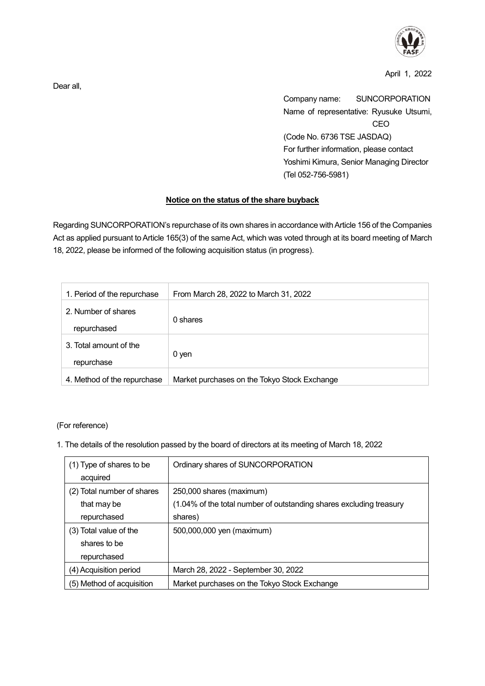

April 1, 2022

Company name: SUNCORPORATION Name of representative: Ryusuke Utsumi, CEO (Code No. 6736 TSE JASDAQ) For further information, please contact Yoshimi Kimura, Senior Managing Director (Tel 052-756-5981)

## **Notice on the status of the share buyback**

Regarding SUNCORPORATION's repurchase of its own shares in accordance with Article 156 of the Companies Act as applied pursuant to Article 165(3) of the same Act, which was voted through at its board meeting of March 18, 2022, please be informed of the following acquisition status (in progress).

| 1. Period of the repurchase | From March 28, 2022 to March 31, 2022        |
|-----------------------------|----------------------------------------------|
| 2. Number of shares         | 0 shares                                     |
| repurchased                 |                                              |
| 3. Total amount of the      |                                              |
| repurchase                  | 0 yen                                        |
| 4. Method of the repurchase | Market purchases on the Tokyo Stock Exchange |

(For reference)

1. The details of the resolution passed by the board of directors at its meeting of March 18, 2022

| (1) Type of shares to be   | Ordinary shares of SUNCORPORATION                                   |
|----------------------------|---------------------------------------------------------------------|
| acquired                   |                                                                     |
| (2) Total number of shares | 250,000 shares (maximum)                                            |
| that may be                | (1.04% of the total number of outstanding shares excluding treasury |
| repurchased                | shares)                                                             |
| (3) Total value of the     | 500,000,000 yen (maximum)                                           |
| shares to be               |                                                                     |
| repurchased                |                                                                     |
| (4) Acquisition period     | March 28, 2022 - September 30, 2022                                 |
| (5) Method of acquisition  | Market purchases on the Tokyo Stock Exchange                        |

Dear all,